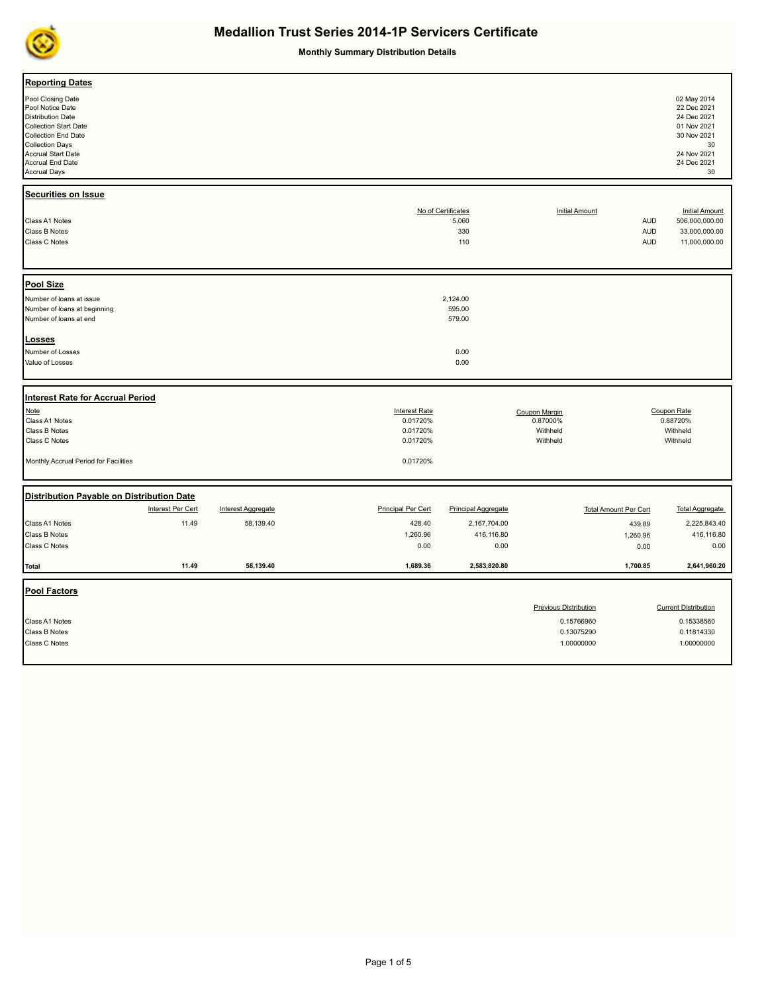

**Monthly Summary Distribution Details**

| <b>Reporting Dates</b><br>Pool Closing Date<br>Pool Notice Date<br><b>Distribution Date</b><br><b>Collection Start Date</b><br>Collection End Date<br><b>Collection Days</b><br>Accrual Start Date<br>Accrual End Date<br><b>Accrual Days</b> |                   |                           |                                                          |                                           |                                                   |                                        | 02 May 2014<br>22 Dec 2021<br>24 Dec 2021<br>01 Nov 2021<br>30 Nov 2021<br>30<br>24 Nov 2021<br>24 Dec 2021<br>30 |
|-----------------------------------------------------------------------------------------------------------------------------------------------------------------------------------------------------------------------------------------------|-------------------|---------------------------|----------------------------------------------------------|-------------------------------------------|---------------------------------------------------|----------------------------------------|-------------------------------------------------------------------------------------------------------------------|
| <b>Securities on Issue</b><br>Class A1 Notes<br>Class B Notes<br>Class C Notes                                                                                                                                                                |                   |                           |                                                          | No of Certificates<br>5,060<br>330<br>110 | <b>Initial Amount</b>                             | <b>AUD</b><br><b>AUD</b><br><b>AUD</b> | <b>Initial Amount</b><br>506,000,000.00<br>33,000,000.00<br>11,000,000.00                                         |
| <b>Pool Size</b>                                                                                                                                                                                                                              |                   |                           |                                                          |                                           |                                                   |                                        |                                                                                                                   |
| Number of loans at issue<br>Number of loans at beginning<br>Number of loans at end                                                                                                                                                            |                   |                           |                                                          | 2,124.00<br>595.00<br>579.00              |                                                   |                                        |                                                                                                                   |
| Losses<br>Number of Losses<br>Value of Losses                                                                                                                                                                                                 |                   |                           |                                                          | 0.00<br>0.00                              |                                                   |                                        |                                                                                                                   |
| Interest Rate for Accrual Period                                                                                                                                                                                                              |                   |                           |                                                          |                                           |                                                   |                                        |                                                                                                                   |
| Note<br>Class A1 Notes<br>Class B Notes<br>Class C Notes                                                                                                                                                                                      |                   |                           | <b>Interest Rate</b><br>0.01720%<br>0.01720%<br>0.01720% |                                           | Coupon Margin<br>0.87000%<br>Withheld<br>Withheld |                                        | Coupon Rate<br>0.88720%<br>Withheld<br>Withheld                                                                   |
| Monthly Accrual Period for Facilities                                                                                                                                                                                                         |                   |                           | 0.01720%                                                 |                                           |                                                   |                                        |                                                                                                                   |
| Distribution Payable on Distribution Date                                                                                                                                                                                                     |                   |                           |                                                          |                                           |                                                   |                                        |                                                                                                                   |
|                                                                                                                                                                                                                                               | Interest Per Cert | <b>Interest Aggregate</b> | <b>Principal Per Cert</b>                                | <b>Principal Aggregate</b>                |                                                   | <b>Total Amount Per Cert</b>           | <b>Total Aggregate</b>                                                                                            |
| Class A1 Notes                                                                                                                                                                                                                                | 11.49             | 58,139.40                 | 428.40                                                   | 2,167,704.00                              |                                                   | 439.89                                 | 2,225,843.40                                                                                                      |
| Class B Notes                                                                                                                                                                                                                                 |                   |                           | 1,260.96                                                 | 416,116.80                                |                                                   | 1,260.96                               | 416,116.80                                                                                                        |
| Class C Notes                                                                                                                                                                                                                                 |                   |                           | 0.00                                                     | 0.00                                      |                                                   | 0.00                                   | 0.00                                                                                                              |
| <b>Total</b>                                                                                                                                                                                                                                  | 11.49             | 58,139.40                 | 1,689.36                                                 | 2,583,820.80                              |                                                   | 1,700.85                               | 2,641,960.20                                                                                                      |
| <b>Pool Factors</b>                                                                                                                                                                                                                           |                   |                           |                                                          |                                           |                                                   |                                        |                                                                                                                   |
|                                                                                                                                                                                                                                               |                   |                           |                                                          |                                           | <b>Previous Distribution</b>                      |                                        | <b>Current Distribution</b>                                                                                       |
| Class A1 Notes                                                                                                                                                                                                                                |                   |                           |                                                          |                                           | 0.15766960                                        |                                        | 0.15338560                                                                                                        |
| Class B Notes                                                                                                                                                                                                                                 |                   |                           |                                                          |                                           | 0.13075290                                        |                                        | 0.11814330                                                                                                        |
| Class C Notes                                                                                                                                                                                                                                 |                   |                           |                                                          |                                           | 1.00000000                                        |                                        | 1.00000000                                                                                                        |
|                                                                                                                                                                                                                                               |                   |                           |                                                          |                                           |                                                   |                                        |                                                                                                                   |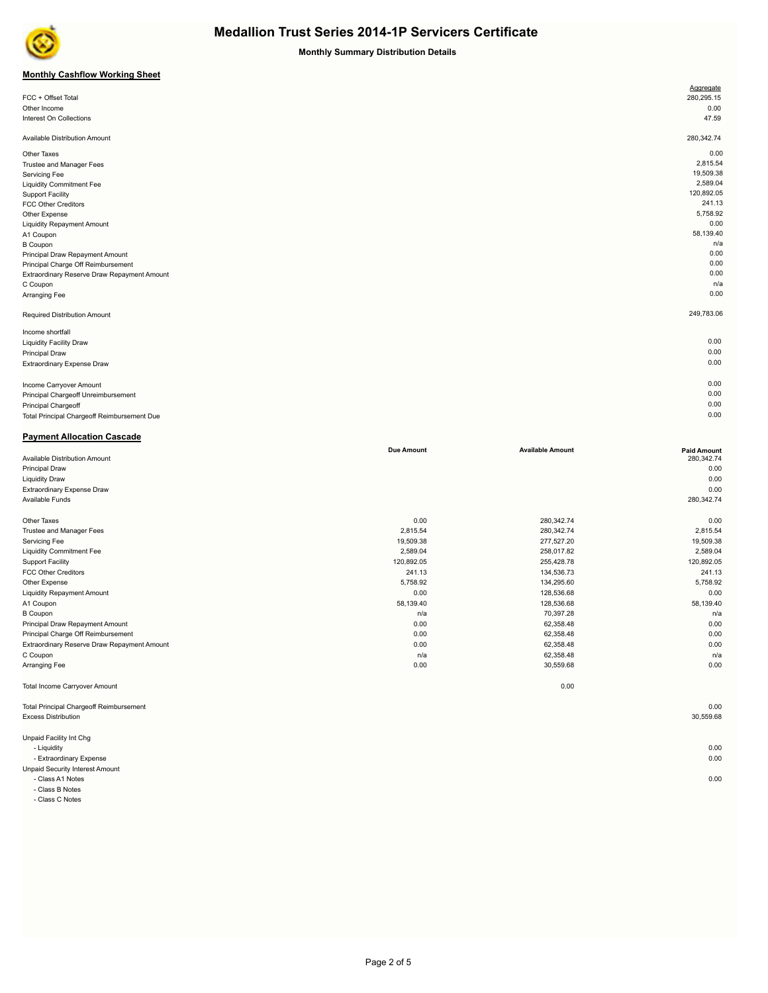

**Monthly Summary Distribution Details**

## **Monthly Cashflow Working Sheet**

|                                             | Aggregate  |
|---------------------------------------------|------------|
| FCC + Offset Total                          | 280,295.15 |
| Other Income                                | 0.00       |
| Interest On Collections                     | 47.59      |
|                                             |            |
| Available Distribution Amount               | 280,342.74 |
| Other Taxes                                 | 0.00       |
| Trustee and Manager Fees                    | 2,815.54   |
| Servicing Fee                               | 19,509.38  |
| <b>Liquidity Commitment Fee</b>             | 2,589.04   |
| <b>Support Facility</b>                     | 120,892.05 |
| <b>FCC Other Creditors</b>                  | 241.13     |
| Other Expense                               | 5,758.92   |
| <b>Liquidity Repayment Amount</b>           | 0.00       |
| A1 Coupon                                   | 58,139.40  |
| <b>B</b> Coupon                             | n/a        |
| Principal Draw Repayment Amount             | 0.00       |
| Principal Charge Off Reimbursement          | 0.00       |
| Extraordinary Reserve Draw Repayment Amount | 0.00       |
| C Coupon                                    | n/a        |
| Arranging Fee                               | 0.00       |
| Required Distribution Amount                | 249,783.06 |
| Income shortfall                            |            |
| <b>Liquidity Facility Draw</b>              | 0.00       |
| <b>Principal Draw</b>                       | 0.00       |
| Extraordinary Expense Draw                  | 0.00       |
|                                             |            |
| Income Carryover Amount                     | 0.00       |
| Principal Chargeoff Unreimbursement         | 0.00       |
| Principal Chargeoff                         | 0.00       |

Total Principal Chargeoff Reimbursement Due 0.00 **Payment Allocation Cascade**

| <b>Due Amount</b> | <b>Available Amount</b>                                                               | <b>Paid Amount</b>                                                                                           |
|-------------------|---------------------------------------------------------------------------------------|--------------------------------------------------------------------------------------------------------------|
|                   |                                                                                       | 280,342.74                                                                                                   |
|                   |                                                                                       | 0.00                                                                                                         |
|                   |                                                                                       | 0.00                                                                                                         |
|                   |                                                                                       | 0.00                                                                                                         |
|                   |                                                                                       | 280,342.74                                                                                                   |
|                   |                                                                                       |                                                                                                              |
|                   |                                                                                       | 0.00                                                                                                         |
|                   |                                                                                       | 2,815.54                                                                                                     |
|                   |                                                                                       | 19,509.38                                                                                                    |
|                   |                                                                                       | 2,589.04                                                                                                     |
|                   |                                                                                       | 120,892.05                                                                                                   |
|                   |                                                                                       | 241.13                                                                                                       |
|                   |                                                                                       | 5,758.92                                                                                                     |
|                   |                                                                                       | 0.00                                                                                                         |
| 58,139.40         | 128,536.68                                                                            | 58,139.40                                                                                                    |
| n/a               | 70,397.28                                                                             | n/a                                                                                                          |
| 0.00              | 62,358.48                                                                             | 0.00                                                                                                         |
| 0.00              | 62,358.48                                                                             | 0.00                                                                                                         |
| 0.00              | 62,358.48                                                                             | 0.00                                                                                                         |
| n/a               | 62,358.48                                                                             | n/a                                                                                                          |
| 0.00              | 30,559.68                                                                             | 0.00                                                                                                         |
|                   | 0.00                                                                                  |                                                                                                              |
|                   |                                                                                       | 0.00                                                                                                         |
|                   |                                                                                       | 30,559.68                                                                                                    |
|                   |                                                                                       |                                                                                                              |
|                   |                                                                                       | 0.00                                                                                                         |
|                   |                                                                                       | 0.00                                                                                                         |
|                   |                                                                                       |                                                                                                              |
|                   |                                                                                       | 0.00                                                                                                         |
|                   | 0.00<br>2,815.54<br>19,509.38<br>2,589.04<br>120,892.05<br>241.13<br>5,758.92<br>0.00 | 280,342.74<br>280,342.74<br>277,527.20<br>258,017.82<br>255,428.78<br>134,536.73<br>134,295.60<br>128,536.68 |

- Class A1 Notes 0.00

- Class B Notes

- Class C Notes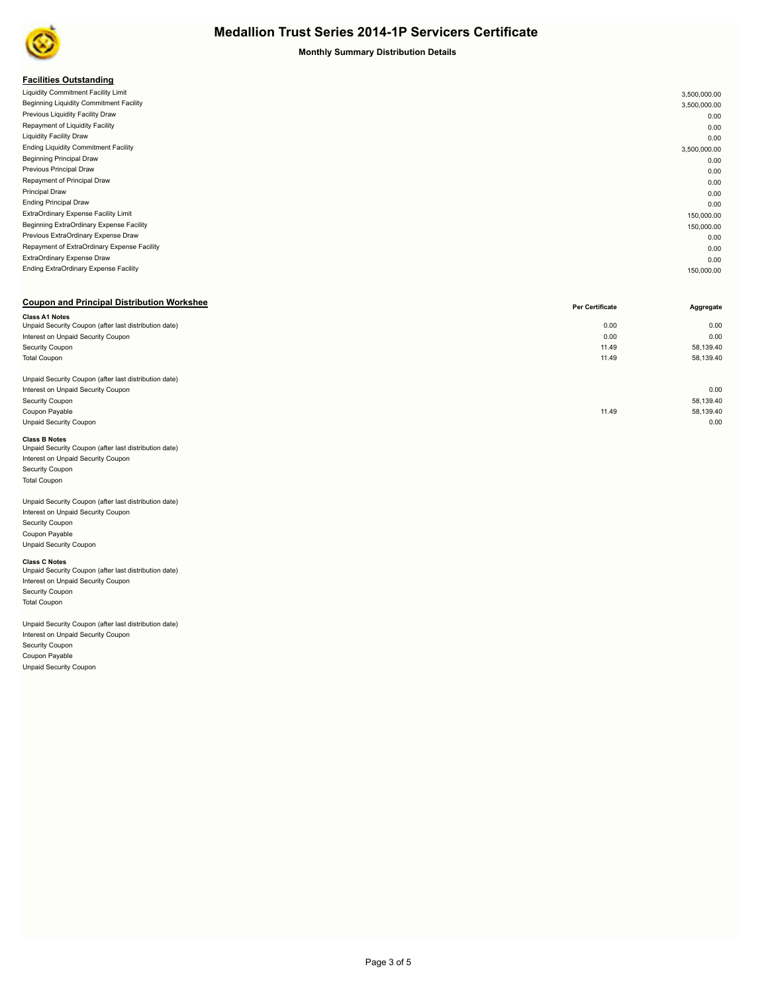

#### **Monthly Summary Distribution Details**

### **Facilities Outstanding**

| . acmacs outstanding                         |              |
|----------------------------------------------|--------------|
| Liquidity Commitment Facility Limit          | 3,500,000.00 |
| Beginning Liquidity Commitment Facility      | 3,500,000.00 |
| Previous Liquidity Facility Draw             | 0.00         |
| Repayment of Liquidity Facility              | 0.00         |
| <b>Liquidity Facility Draw</b>               | 0.00         |
| <b>Ending Liquidity Commitment Facility</b>  | 3,500,000.00 |
| <b>Beginning Principal Draw</b>              | 0.00         |
| Previous Principal Draw                      | 0.00         |
| Repayment of Principal Draw                  | 0.00         |
| <b>Principal Draw</b>                        | 0.00         |
| <b>Ending Principal Draw</b>                 | 0.00         |
| ExtraOrdinary Expense Facility Limit         | 150,000.00   |
| Beginning ExtraOrdinary Expense Facility     | 150,000.00   |
| Previous ExtraOrdinary Expense Draw          | 0.00         |
| Repayment of ExtraOrdinary Expense Facility  | 0.00         |
| ExtraOrdinary Expense Draw                   | 0.00         |
| <b>Ending ExtraOrdinary Expense Facility</b> | 150,000.00   |
|                                              |              |

### **Coupon and Principal Distribution Workshee**

|                                                       | Per Certificate | Aggregate |
|-------------------------------------------------------|-----------------|-----------|
| <b>Class A1 Notes</b>                                 |                 |           |
| Unpaid Security Coupon (after last distribution date) | 0.00            | 0.00      |
| Interest on Unpaid Security Coupon                    | 0.00            | 0.00      |
| Security Coupon                                       | 11.49           | 58,139.40 |
| <b>Total Coupon</b>                                   | 11.49           | 58,139.40 |
|                                                       |                 |           |
| Unpaid Security Coupon (after last distribution date) |                 |           |
| Interest on Unpaid Security Coupon                    |                 | 0.00      |
| Security Coupon                                       |                 | 58,139.40 |
| Coupon Payable                                        | 11.49           | 58,139.40 |
| <b>Unpaid Security Coupon</b>                         |                 | 0.00      |
|                                                       |                 |           |

#### **Class B Notes**

| Unpaid Security Coupon (after last distribution date) |  |
|-------------------------------------------------------|--|
| Interest on Unpaid Security Coupon                    |  |
| <b>Security Coupon</b>                                |  |
| <b>Total Coupon</b>                                   |  |
|                                                       |  |

#### Unpaid Security Coupon (after last distribution date) Interest on Unpaid Security Coupon

Security Coupon Coupon Payable Unpaid Security Coupon

**Class C Notes**<br>Unpaid Security Coupon (after last distribution date) Interest on Unpaid Security Coupon Security Coupon Total Coupon

Unpaid Security Coupon (after last distribution date) Interest on Unpaid Security Coupon Security Coupon Coupon Payable Unpaid Security Coupon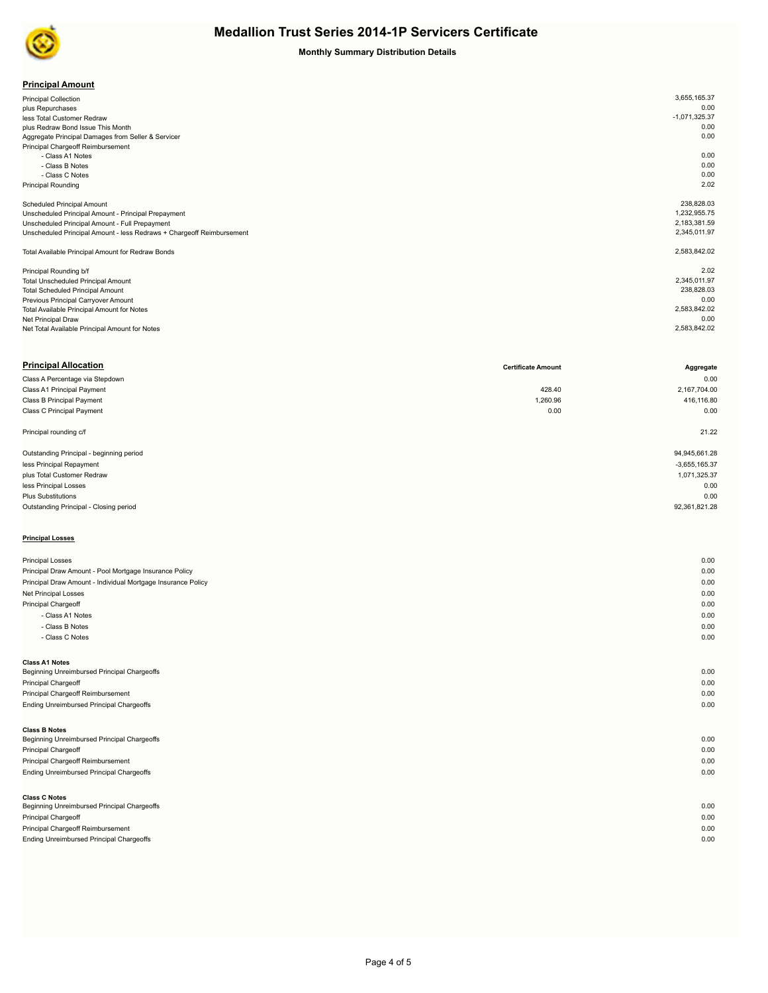

## **Monthly Summary Distribution Details**

| <b>Principal Amount</b> |
|-------------------------|
|-------------------------|

| .                                                                     |                 |
|-----------------------------------------------------------------------|-----------------|
| <b>Principal Collection</b>                                           | 3,655,165.37    |
| plus Repurchases                                                      | 0.00            |
| less Total Customer Redraw                                            | $-1,071,325.37$ |
| plus Redraw Bond Issue This Month                                     | 0.00            |
| Aggregate Principal Damages from Seller & Servicer                    | 0.00            |
| Principal Chargeoff Reimbursement                                     |                 |
| - Class A1 Notes                                                      | 0.00            |
| - Class B Notes                                                       | 0.00            |
| - Class C Notes                                                       | 0.00            |
| <b>Principal Rounding</b>                                             | 2.02            |
|                                                                       |                 |
| <b>Scheduled Principal Amount</b>                                     | 238,828.03      |
| Unscheduled Principal Amount - Principal Prepayment                   | 1,232,955.75    |
| Unscheduled Principal Amount - Full Prepayment                        | 2,183,381.59    |
| Unscheduled Principal Amount - less Redraws + Chargeoff Reimbursement | 2,345,011.97    |
|                                                                       |                 |
| Total Available Principal Amount for Redraw Bonds                     | 2,583,842.02    |
|                                                                       |                 |
| Principal Rounding b/f                                                | 2.02            |
| <b>Total Unscheduled Principal Amount</b>                             | 2,345,011.97    |
| <b>Total Scheduled Principal Amount</b>                               | 238,828.03      |
| Previous Principal Carryover Amount                                   | 0.00            |
| Total Available Principal Amount for Notes                            | 2,583,842.02    |
| Net Principal Draw                                                    | 0.00            |
| Net Total Available Principal Amount for Notes                        | 2,583,842.02    |
|                                                                       |                 |

| <b>Principal Allocation</b>                                  | <b>Certificate Amount</b> | Aggregate       |
|--------------------------------------------------------------|---------------------------|-----------------|
| Class A Percentage via Stepdown                              |                           | 0.00            |
| Class A1 Principal Payment                                   | 428.40                    | 2,167,704.00    |
| Class B Principal Payment                                    | 1,260.96                  | 416,116.80      |
| Class C Principal Payment                                    | 0.00                      | 0.00            |
| Principal rounding c/f                                       |                           | 21.22           |
| Outstanding Principal - beginning period                     |                           | 94,945,661.28   |
| less Principal Repayment                                     |                           | $-3,655,165.37$ |
| plus Total Customer Redraw                                   |                           | 1,071,325.37    |
| less Principal Losses                                        |                           | 0.00            |
| <b>Plus Substitutions</b>                                    |                           | 0.00            |
| Outstanding Principal - Closing period                       |                           | 92,361,821.28   |
| <b>Principal Losses</b>                                      |                           |                 |
| <b>Principal Losses</b>                                      |                           | 0.00            |
| Principal Draw Amount - Pool Mortgage Insurance Policy       |                           | 0.00            |
| Principal Draw Amount - Individual Mortgage Insurance Policy |                           | 0.00            |
| Net Principal Losses                                         |                           | 0.00            |
| Principal Chargeoff                                          |                           | 0.00            |
| - Class A1 Notes                                             |                           | 0.00            |
| - Class B Notes                                              |                           | 0.00            |
| - Class C Notes                                              |                           | 0.00            |
| <b>Class A1 Notes</b>                                        |                           |                 |
| Beginning Unreimbursed Principal Chargeoffs                  |                           | 0.00            |

Principal Chargeoff 0.00 Principal Chargeoff Reimbursement 0.00 Ending Unreimbursed Principal Chargeoffs 0.00

## **Class B Notes**

| <b>URSS DINULUS</b>                         |      |
|---------------------------------------------|------|
| Beginning Unreimbursed Principal Chargeoffs | 0.00 |
| <b>Principal Chargeoff</b>                  | 0.00 |
| Principal Chargeoff Reimbursement           | 0.00 |
| Ending Unreimbursed Principal Chargeoffs    | 0.00 |
|                                             |      |
| <b>Class C Notes</b>                        |      |
| Beginning Unreimbursed Principal Chargeoffs | 0.00 |

Principal Chargeoff 0.00 Principal Chargeoff Reimbursement 0.00 Ending Unreimbursed Principal Chargeoffs 0.00